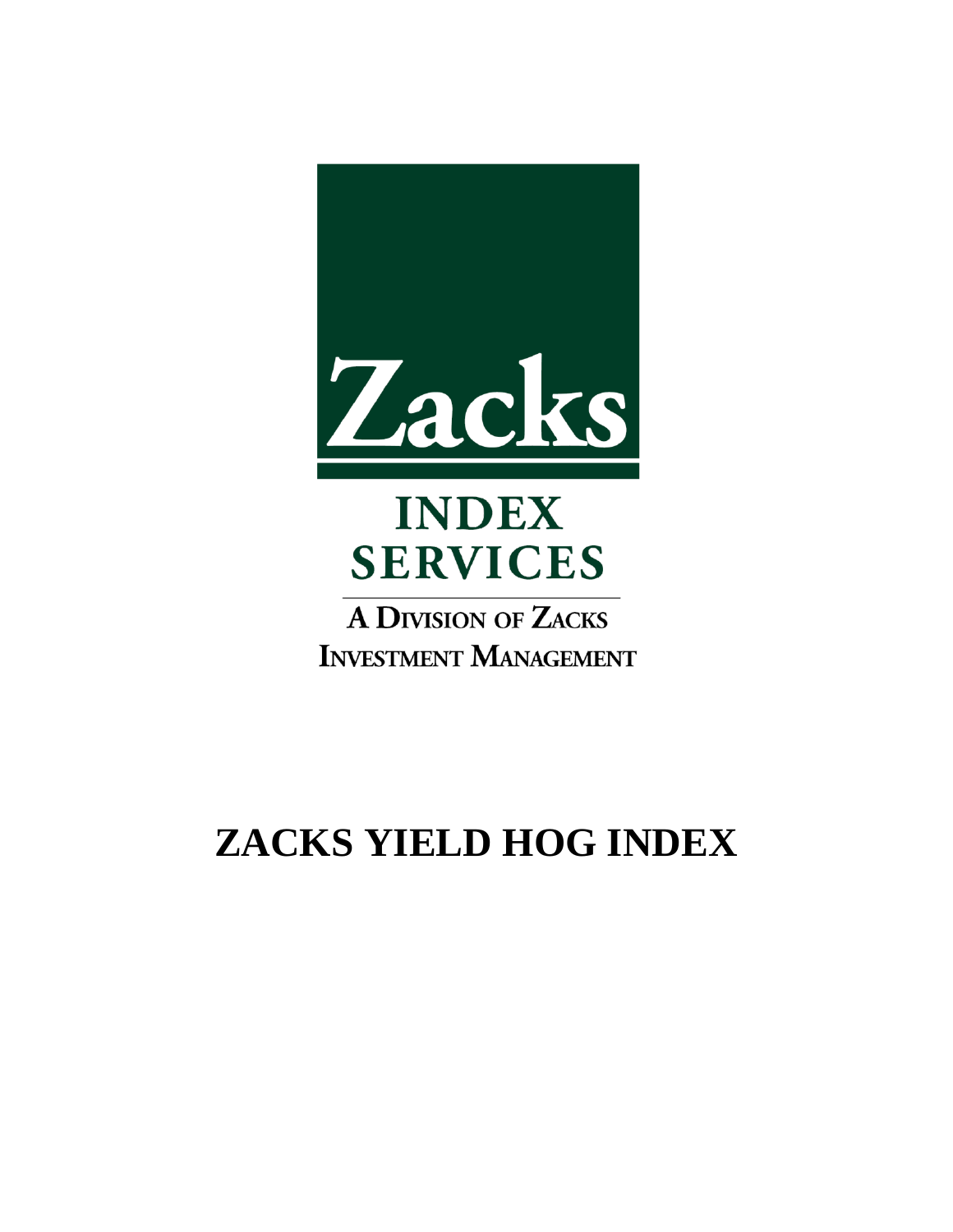

# **INDEX SERVICES**

**A DIVISION OF ZACKS INVESTMENT MANAGEMENT** 

# **ZACKS YIELD HOG INDEX**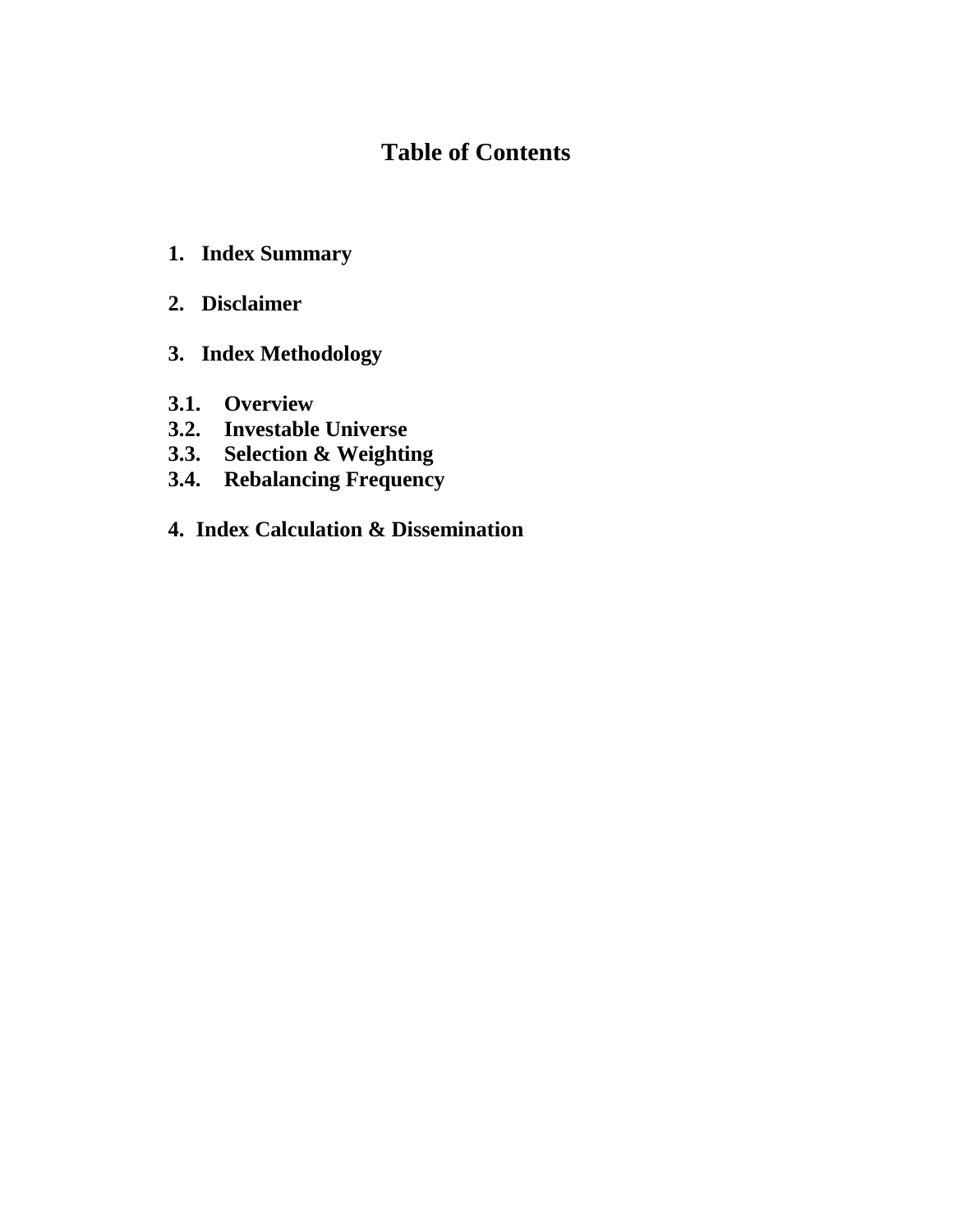# **Table of Contents**

- **1. Index Summary**
- **2. Disclaimer**
- **3. Index Methodology**
- **3.1. Overview**
- **3.2. Investable Universe**
- **3.3. Selection & Weighting**
- **3.4. Rebalancing Frequency**
- **4. Index Calculation & Dissemination**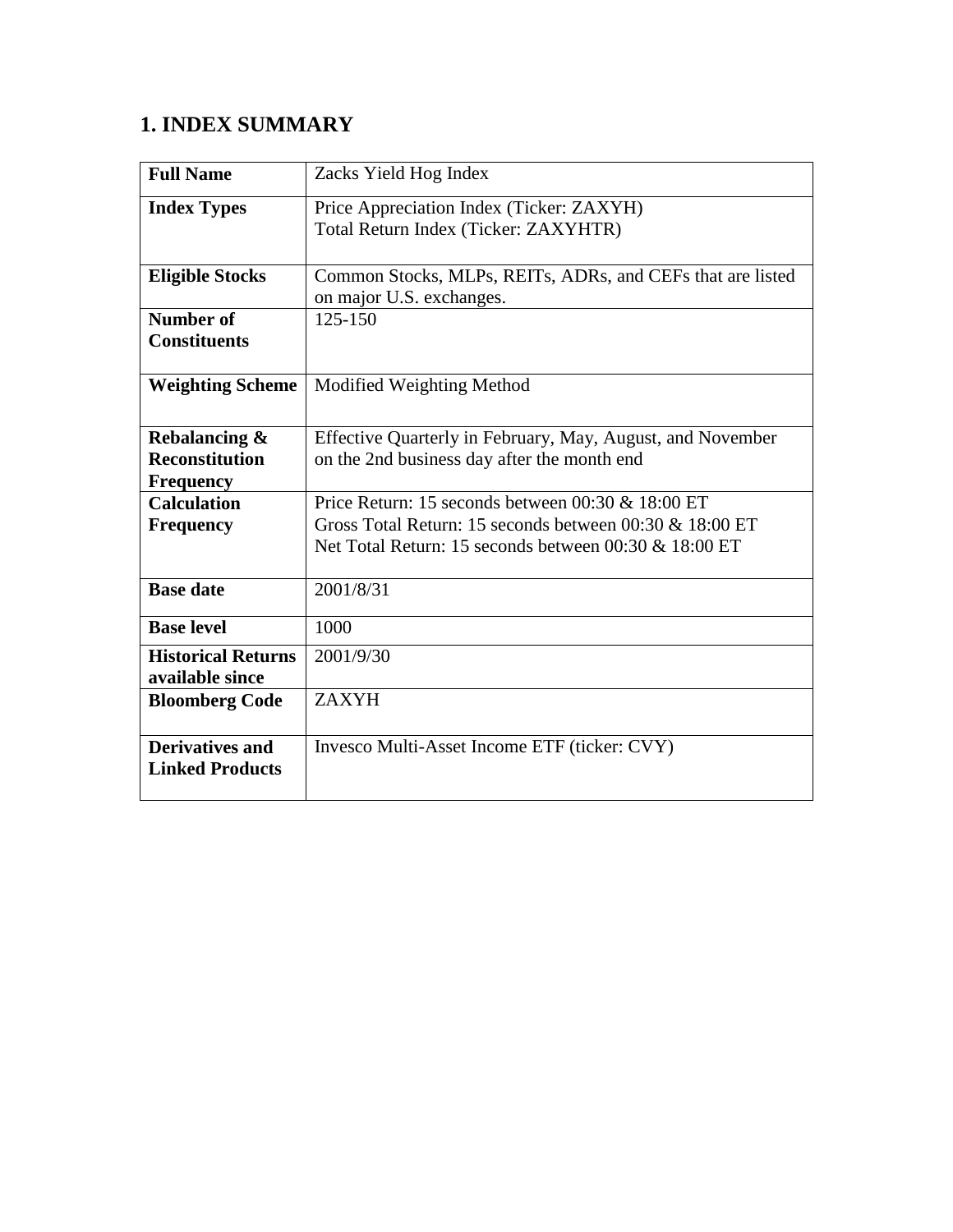# **1. INDEX SUMMARY**

| <b>Full Name</b>          | Zacks Yield Hog Index                                        |
|---------------------------|--------------------------------------------------------------|
| <b>Index Types</b>        | Price Appreciation Index (Ticker: ZAXYH)                     |
|                           | Total Return Index (Ticker: ZAXYHTR)                         |
|                           |                                                              |
| <b>Eligible Stocks</b>    | Common Stocks, MLPs, REITs, ADRs, and CEFs that are listed   |
|                           | on major U.S. exchanges.                                     |
| <b>Number of</b>          | $125 - 150$                                                  |
| <b>Constituents</b>       |                                                              |
| <b>Weighting Scheme</b>   | Modified Weighting Method                                    |
|                           |                                                              |
| Rebalancing &             | Effective Quarterly in February, May, August, and November   |
| <b>Reconstitution</b>     | on the 2nd business day after the month end                  |
| <b>Frequency</b>          |                                                              |
| <b>Calculation</b>        | Price Return: 15 seconds between $00:30 \& 18:00 \text{ ET}$ |
| <b>Frequency</b>          | Gross Total Return: 15 seconds between 00:30 & 18:00 ET      |
|                           | Net Total Return: 15 seconds between 00:30 & 18:00 ET        |
| <b>Base date</b>          | 2001/8/31                                                    |
| <b>Base level</b>         | 1000                                                         |
|                           |                                                              |
| <b>Historical Returns</b> | 2001/9/30                                                    |
| available since           |                                                              |
| <b>Bloomberg Code</b>     | <b>ZAXYH</b>                                                 |
| <b>Derivatives and</b>    | Invesco Multi-Asset Income ETF (ticker: CVY)                 |
| <b>Linked Products</b>    |                                                              |
|                           |                                                              |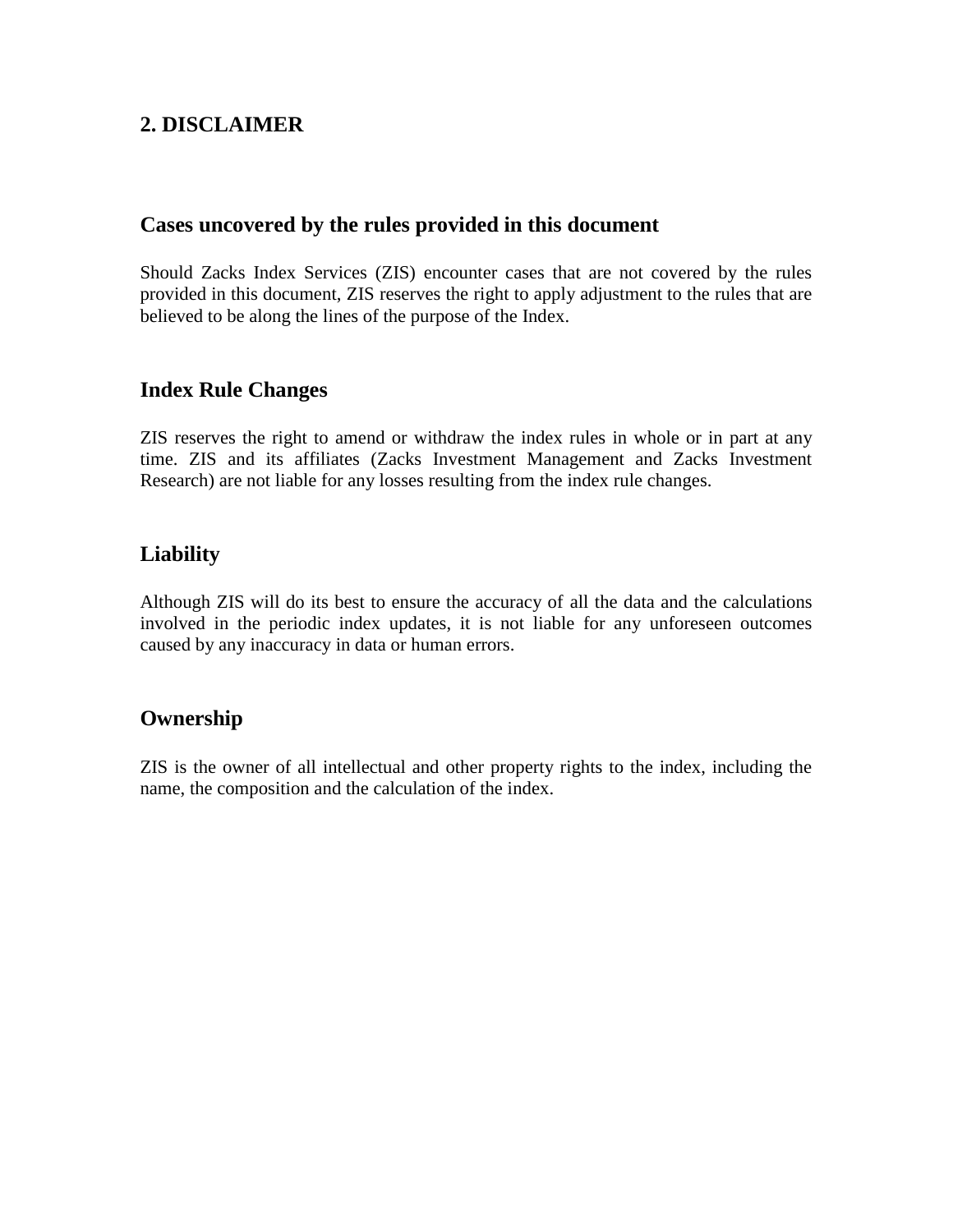# **2. DISCLAIMER**

#### **Cases uncovered by the rules provided in this document**

Should Zacks Index Services (ZIS) encounter cases that are not covered by the rules provided in this document, ZIS reserves the right to apply adjustment to the rules that are believed to be along the lines of the purpose of the Index.

### **Index Rule Changes**

ZIS reserves the right to amend or withdraw the index rules in whole or in part at any time. ZIS and its affiliates (Zacks Investment Management and Zacks Investment Research) are not liable for any losses resulting from the index rule changes.

## **Liability**

Although ZIS will do its best to ensure the accuracy of all the data and the calculations involved in the periodic index updates, it is not liable for any unforeseen outcomes caused by any inaccuracy in data or human errors.

## **Ownership**

ZIS is the owner of all intellectual and other property rights to the index, including the name, the composition and the calculation of the index.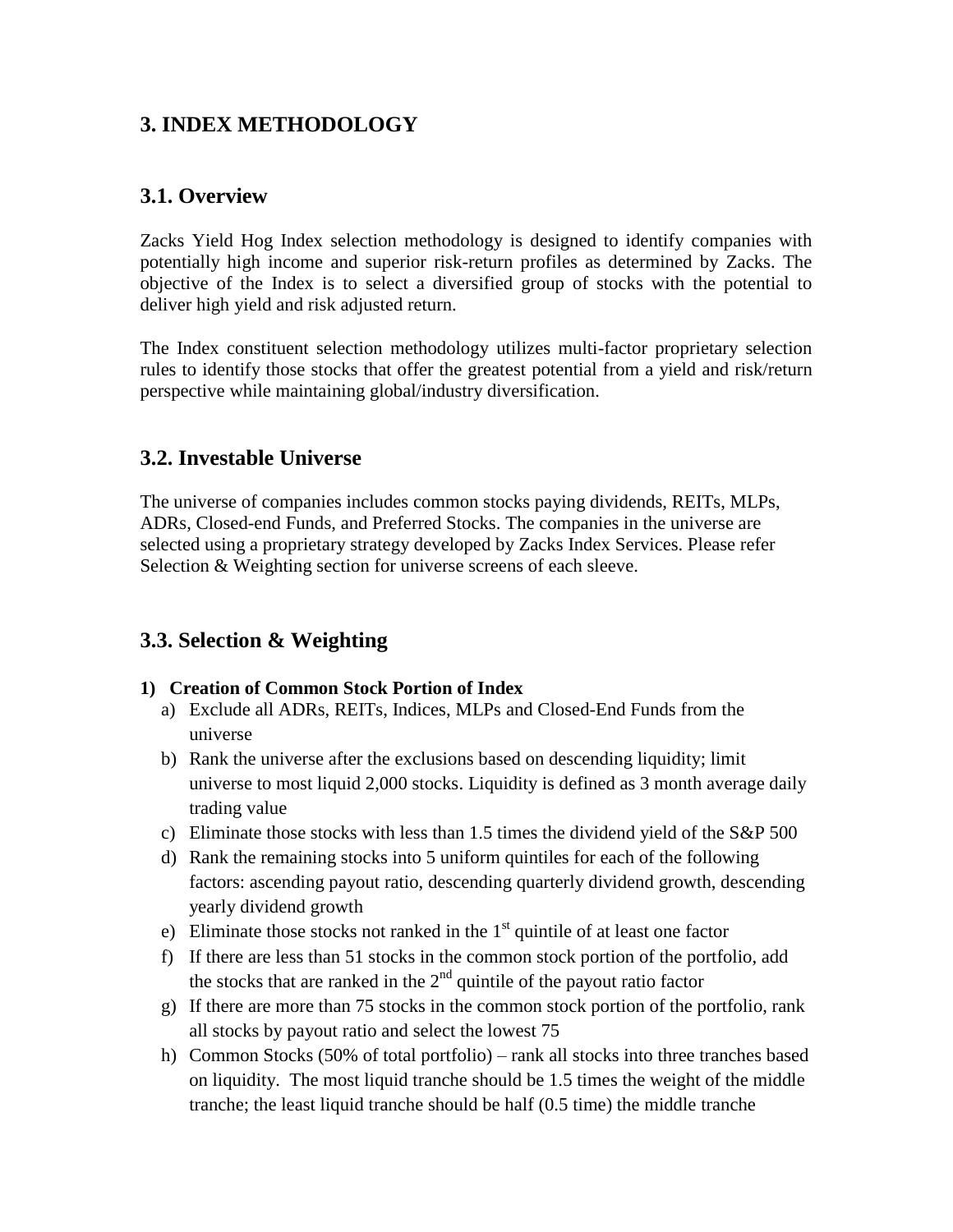# **3. INDEX METHODOLOGY**

#### **3.1. Overview**

Zacks Yield Hog Index selection methodology is designed to identify companies with potentially high income and superior risk-return profiles as determined by Zacks. The objective of the Index is to select a diversified group of stocks with the potential to deliver high yield and risk adjusted return.

The Index constituent selection methodology utilizes multi-factor proprietary selection rules to identify those stocks that offer the greatest potential from a yield and risk/return perspective while maintaining global/industry diversification.

#### **3.2. Investable Universe**

The universe of companies includes common stocks paying dividends, REITs, MLPs, ADRs, Closed-end Funds, and Preferred Stocks. The companies in the universe are selected using a proprietary strategy developed by Zacks Index Services. Please refer Selection & Weighting section for universe screens of each sleeve.

### **3.3. Selection & Weighting**

#### **1) Creation of Common Stock Portion of Index**

- a) Exclude all ADRs, REITs, Indices, MLPs and Closed-End Funds from the universe
- b) Rank the universe after the exclusions based on descending liquidity; limit universe to most liquid 2,000 stocks. Liquidity is defined as 3 month average daily trading value
- c) Eliminate those stocks with less than 1.5 times the dividend yield of the S&P 500
- d) Rank the remaining stocks into 5 uniform quintiles for each of the following factors: ascending payout ratio, descending quarterly dividend growth, descending yearly dividend growth
- e) Eliminate those stocks not ranked in the  $1<sup>st</sup>$  quintile of at least one factor
- f) If there are less than 51 stocks in the common stock portion of the portfolio, add the stocks that are ranked in the  $2<sup>nd</sup>$  quintile of the payout ratio factor
- g) If there are more than 75 stocks in the common stock portion of the portfolio, rank all stocks by payout ratio and select the lowest 75
- h) Common Stocks (50% of total portfolio) rank all stocks into three tranches based on liquidity. The most liquid tranche should be 1.5 times the weight of the middle tranche; the least liquid tranche should be half (0.5 time) the middle tranche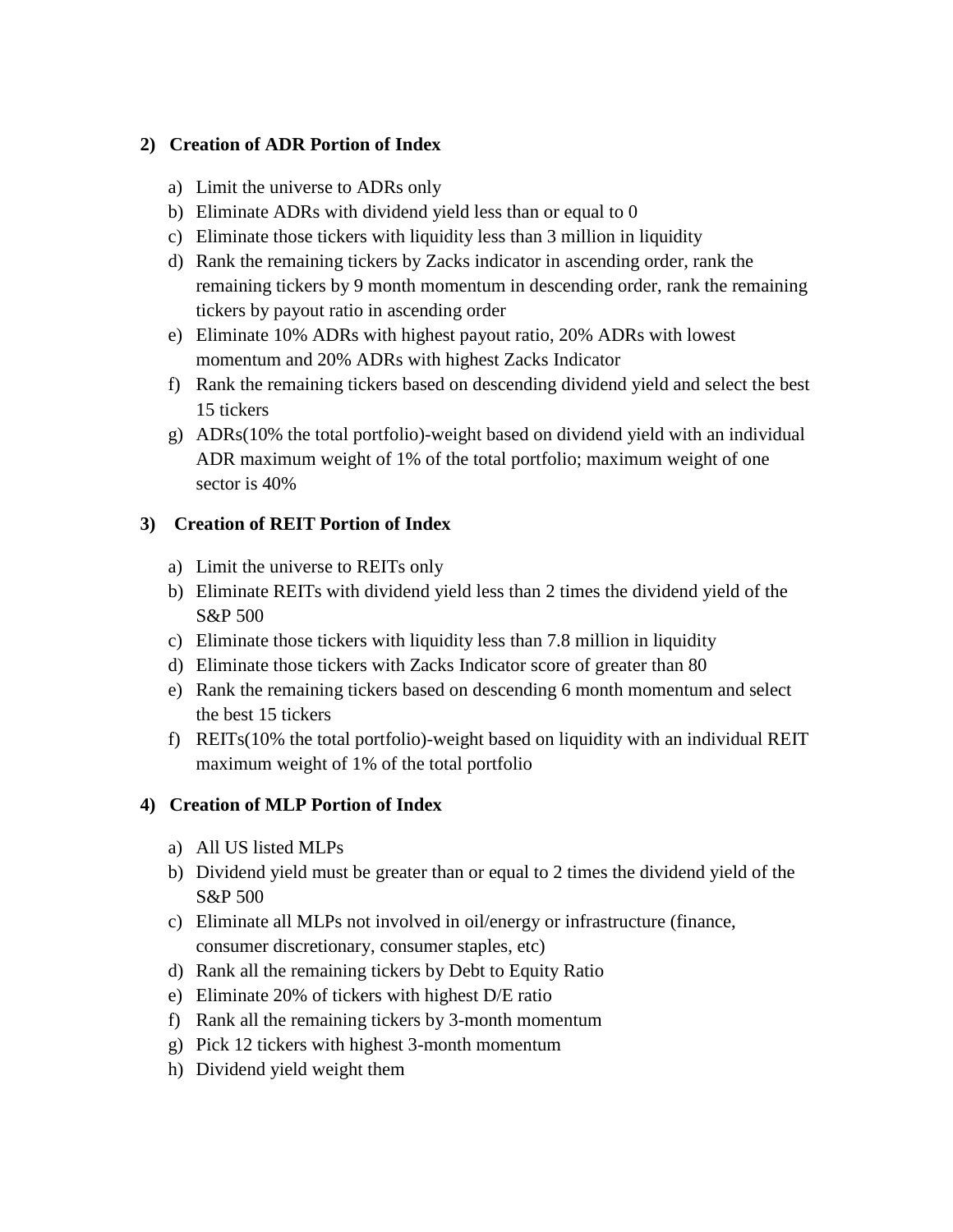#### **2) Creation of ADR Portion of Index**

- a) Limit the universe to ADRs only
- b) Eliminate ADRs with dividend yield less than or equal to 0
- c) Eliminate those tickers with liquidity less than 3 million in liquidity
- d) Rank the remaining tickers by Zacks indicator in ascending order, rank the remaining tickers by 9 month momentum in descending order, rank the remaining tickers by payout ratio in ascending order
- e) Eliminate 10% ADRs with highest payout ratio, 20% ADRs with lowest momentum and 20% ADRs with highest Zacks Indicator
- f) Rank the remaining tickers based on descending dividend yield and select the best 15 tickers
- g) ADRs(10% the total portfolio)-weight based on dividend yield with an individual ADR maximum weight of 1% of the total portfolio; maximum weight of one sector is 40%

#### **3) Creation of REIT Portion of Index**

- a) Limit the universe to REITs only
- b) Eliminate REITs with dividend yield less than 2 times the dividend yield of the S&P 500
- c) Eliminate those tickers with liquidity less than 7.8 million in liquidity
- d) Eliminate those tickers with Zacks Indicator score of greater than 80
- e) Rank the remaining tickers based on descending 6 month momentum and select the best 15 tickers
- f) REITs(10% the total portfolio)-weight based on liquidity with an individual REIT maximum weight of 1% of the total portfolio

#### **4) Creation of MLP Portion of Index**

- a) All US listed MLPs
- b) Dividend yield must be greater than or equal to 2 times the dividend yield of the S&P 500
- c) Eliminate all MLPs not involved in oil/energy or infrastructure (finance, consumer discretionary, consumer staples, etc)
- d) Rank all the remaining tickers by Debt to Equity Ratio
- e) Eliminate 20% of tickers with highest D/E ratio
- f) Rank all the remaining tickers by 3-month momentum
- g) Pick 12 tickers with highest 3-month momentum
- h) Dividend yield weight them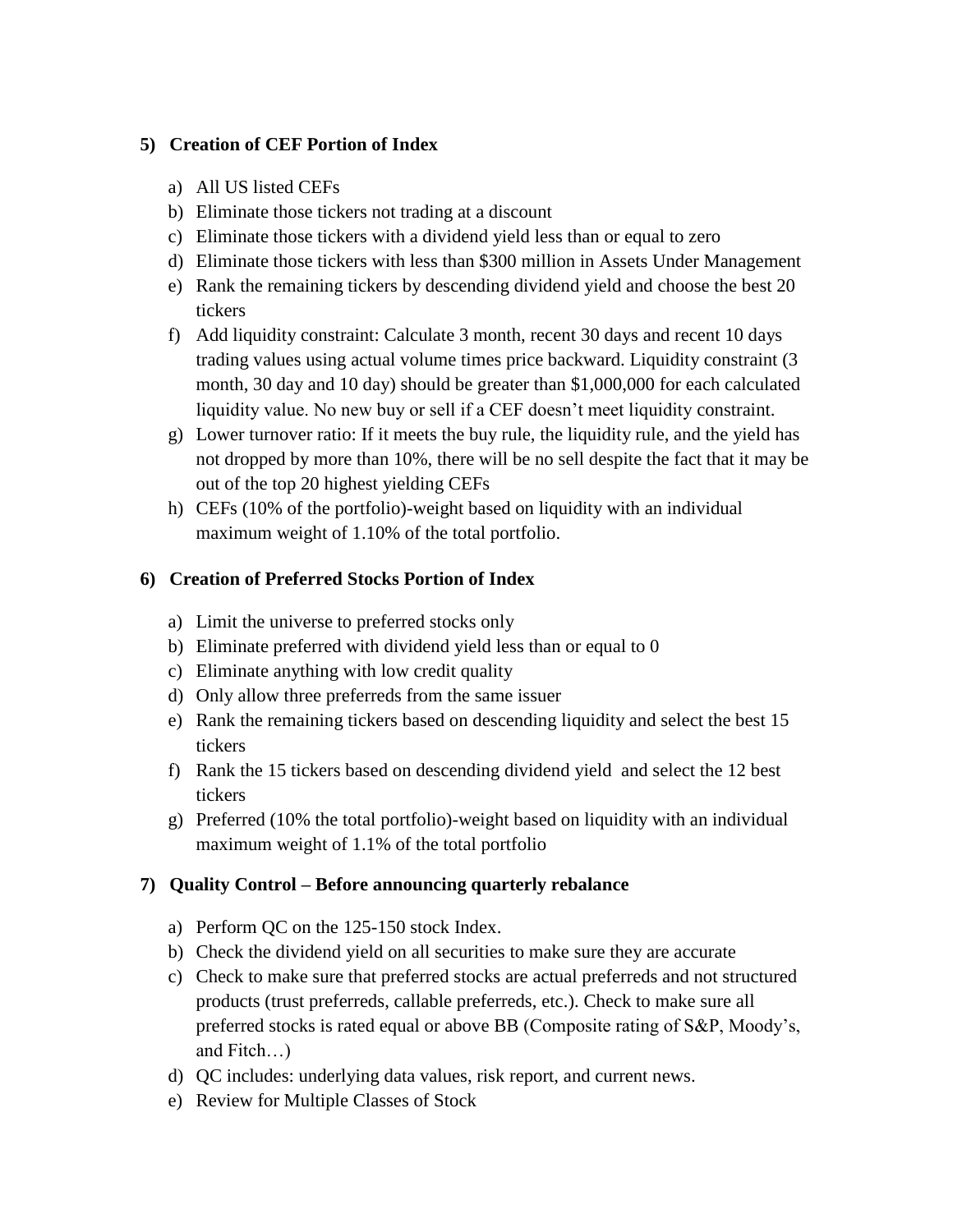#### **5) Creation of CEF Portion of Index**

- a) All US listed CEFs
- b) Eliminate those tickers not trading at a discount
- c) Eliminate those tickers with a dividend yield less than or equal to zero
- d) Eliminate those tickers with less than \$300 million in Assets Under Management
- e) Rank the remaining tickers by descending dividend yield and choose the best 20 tickers
- f) Add liquidity constraint: Calculate 3 month, recent 30 days and recent 10 days trading values using actual volume times price backward. Liquidity constraint (3 month, 30 day and 10 day) should be greater than \$1,000,000 for each calculated liquidity value. No new buy or sell if a CEF doesn't meet liquidity constraint.
- g) Lower turnover ratio: If it meets the buy rule, the liquidity rule, and the yield has not dropped by more than 10%, there will be no sell despite the fact that it may be out of the top 20 highest yielding CEFs
- h) CEFs (10% of the portfolio)-weight based on liquidity with an individual maximum weight of 1.10% of the total portfolio.

#### **6) Creation of Preferred Stocks Portion of Index**

- a) Limit the universe to preferred stocks only
- b) Eliminate preferred with dividend yield less than or equal to 0
- c) Eliminate anything with low credit quality
- d) Only allow three preferreds from the same issuer
- e) Rank the remaining tickers based on descending liquidity and select the best 15 tickers
- f) Rank the 15 tickers based on descending dividend yield and select the 12 best tickers
- g) Preferred (10% the total portfolio)-weight based on liquidity with an individual maximum weight of 1.1% of the total portfolio

#### **7) Quality Control – Before announcing quarterly rebalance**

- a) Perform QC on the 125-150 stock Index.
- b) Check the dividend yield on all securities to make sure they are accurate
- c) Check to make sure that preferred stocks are actual preferreds and not structured products (trust preferreds, callable preferreds, etc.). Check to make sure all preferred stocks is rated equal or above BB (Composite rating of S&P, Moody's, and Fitch…)
- d) QC includes: underlying data values, risk report, and current news.
- e) Review for Multiple Classes of Stock